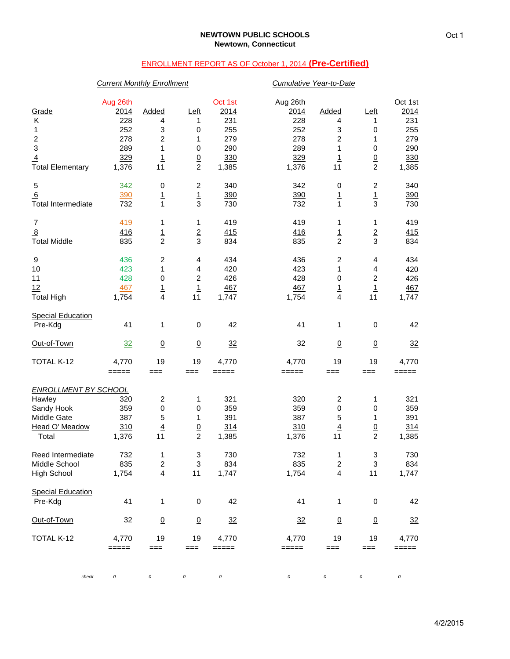# ENROLLMENT REPORT AS OF October 1, 2014 **(Pre-Certified)**

## *Current Monthly Enrollment Cumulative Year-to-Date*

| Grade<br>Κ<br>1<br>$\boldsymbol{2}$<br>3<br>$\overline{4}$<br><b>Total Elementary</b>         | Aug 26th<br>2014<br>228<br>252<br>278<br>289<br>329<br>1,376 | Added<br>4<br>3<br>2<br>1<br><u>1</u><br>11               | Left<br>1<br>0<br>1<br>0<br>$\frac{0}{2}$        | Oct 1st<br>2014<br>231<br>255<br>279<br>290<br>330<br>1,385 | Aug 26th<br><u>2014</u><br>228<br>252<br>278<br>289<br>329<br>1,376 | Added<br>4<br>3<br>$\boldsymbol{2}$<br>1<br>$\overline{1}$<br>11 | Left<br>1<br>0<br>1<br>0<br>$\frac{0}{2}$          | Oct 1st<br>2014<br>231<br>255<br>279<br>290<br>330<br>1,385 |
|-----------------------------------------------------------------------------------------------|--------------------------------------------------------------|-----------------------------------------------------------|--------------------------------------------------|-------------------------------------------------------------|---------------------------------------------------------------------|------------------------------------------------------------------|----------------------------------------------------|-------------------------------------------------------------|
| $\mathbf 5$<br>6<br><b>Total Intermediate</b>                                                 | 342<br>390<br>732                                            | 0<br>$\overline{1}$<br>$\overline{1}$                     | $\boldsymbol{2}$<br>$\frac{1}{3}$                | 340<br>390<br>730                                           | 342<br>390<br>732                                                   | 0<br>$\overline{1}$<br>$\mathbf 1$                               | $\overline{\mathbf{c}}$<br>$\overline{1}$<br>3     | 340<br>390<br>730                                           |
| $\boldsymbol{7}$<br>$\overline{8}$<br><b>Total Middle</b>                                     | 419<br>416<br>835                                            | 1<br>$\overline{1}$<br>$\overline{2}$                     | 1<br>$\frac{2}{3}$                               | 419<br>415<br>834                                           | 419<br>416<br>835                                                   | 1<br>$\overline{1}$<br>$\overline{2}$                            | 1<br>$\frac{2}{3}$                                 | 419<br>415<br>834                                           |
| 9<br>10<br>11<br>12<br><b>Total High</b>                                                      | 436<br>423<br>428<br>467<br>1,754                            | 2<br>1<br>0<br>$\overline{1}$<br>4                        | 4<br>4<br>$\overline{c}$<br>$\overline{1}$<br>11 | 434<br>420<br>426<br>467<br>1,747                           | 436<br>423<br>428<br>467<br>1,754                                   | $\overline{c}$<br>1<br>0<br>$\overline{1}$<br>4                  | 4<br>4<br>$\boldsymbol{2}$<br>$\overline{1}$<br>11 | 434<br>420<br>426<br>467<br>1,747                           |
| <b>Special Education</b><br>Pre-Kdg                                                           | 41                                                           | 1                                                         | 0                                                | 42                                                          | 41                                                                  | 1                                                                | 0                                                  | 42                                                          |
| Out-of-Town                                                                                   | 32                                                           | $\underline{0}$                                           | $\underline{0}$                                  | 32                                                          | 32                                                                  | $\underline{0}$                                                  | $\underline{0}$                                    | 32                                                          |
| TOTAL K-12                                                                                    | 4,770<br>$=====$                                             | 19<br>$==$                                                | 19<br>$==$                                       | 4,770<br>$=====$                                            | 4,770<br>=====                                                      | 19<br>===                                                        | 19<br>===                                          | 4,770<br>$=====$                                            |
| <b>ENROLLMENT BY SCHOOL</b><br>Hawley<br>Sandy Hook<br>Middle Gate<br>Head O' Meadow<br>Total | 320<br>359<br>387<br>310<br>1,376                            | $\overline{\mathbf{c}}$<br>0<br>5<br>$\overline{4}$<br>11 | 1<br>0<br>1<br>$\overline{0}$<br>$\overline{c}$  | 321<br>359<br>391<br>314<br>1,385                           | 320<br>359<br>387<br>310<br>1,376                                   | $\overline{c}$<br>0<br>5<br>$\overline{4}$<br>11                 | 1<br>0<br>1<br>$\underline{0}$<br>$\overline{c}$   | 321<br>359<br>391<br>314<br>1,385                           |
| Reed Intermediate<br>Middle School<br>High School                                             | 732<br>835<br>1,754                                          | 1<br>$\overline{2}$<br>$\overline{\mathbf{4}}$            | 3<br>3<br>11                                     | 730<br>834<br>1,747                                         | 732<br>835<br>1,754                                                 | 1<br>$\overline{2}$<br>4                                         | 3<br>3<br>11                                       | 730<br>834<br>1,747                                         |
| <b>Special Education</b><br>Pre-Kdg                                                           | 41                                                           | 1                                                         | 0                                                | 42                                                          | 41                                                                  | 1                                                                | 0                                                  | 42                                                          |
| Out-of-Town                                                                                   | 32                                                           | $\underline{0}$                                           | $\overline{0}$                                   | $\frac{32}{2}$                                              | 32                                                                  | $\underline{0}$                                                  | $\underline{0}$                                    | $\frac{32}{2}$                                              |
| TOTAL K-12                                                                                    | 4,770<br>=====                                               | 19<br>$==$                                                | 19<br>$==$                                       | 4,770<br>=====                                              | 4,770<br>$=$ $=$ $=$ $=$                                            | 19<br>$==$                                                       | 19<br>$==$                                         | 4,770<br>$=====$                                            |
| check                                                                                         | 0                                                            | 0                                                         | 0                                                | 0                                                           | $\cal O$                                                            | 0                                                                | 0                                                  | 0                                                           |